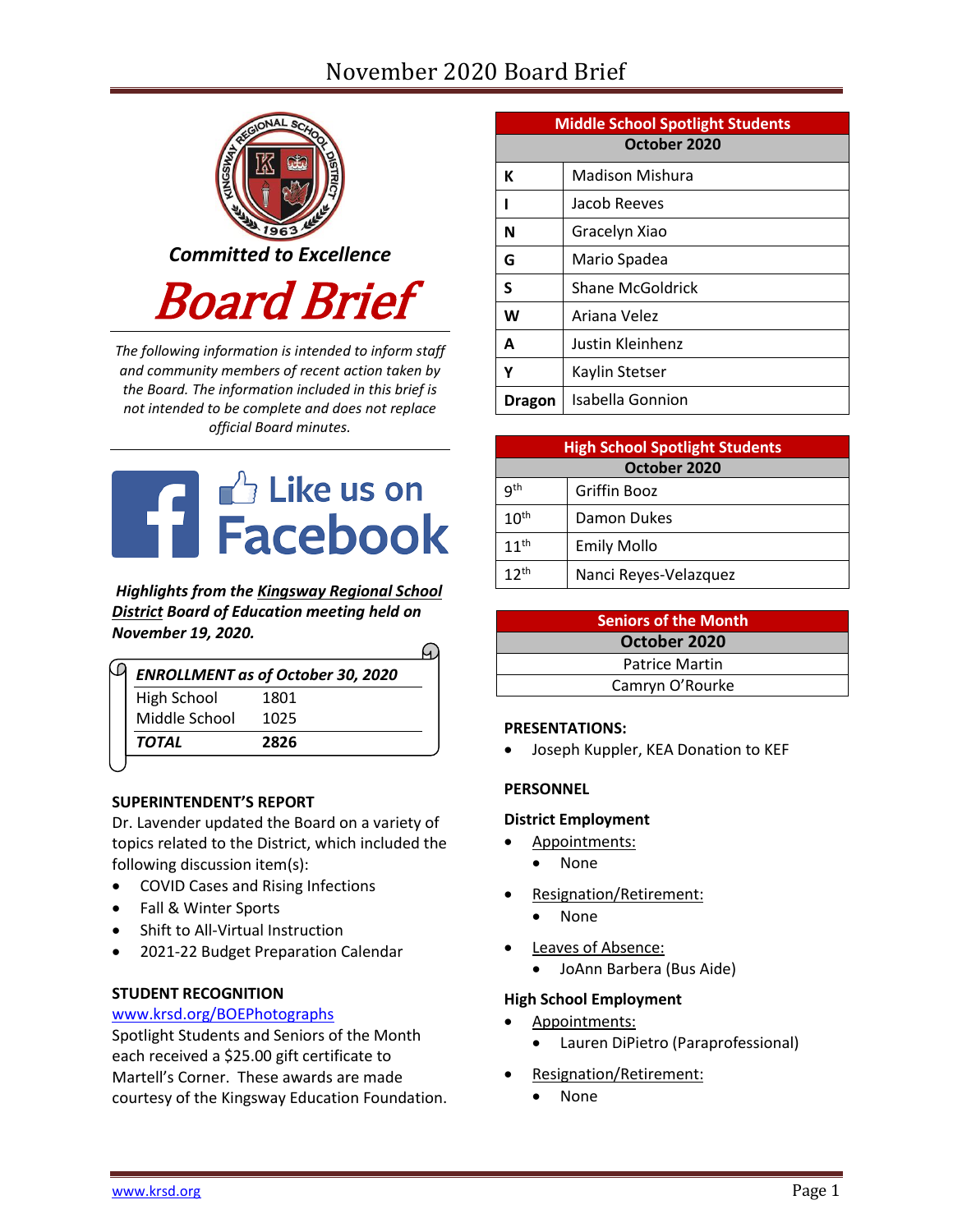# November 2020 Board Brief



*The following information is intended to inform staff and community members of recent action taken by the Board. The information included in this brief is not intended to be complete and does not replace official Board minutes.*



*Highlights from the [Kingsway Regional School](https://www.facebook.com/KingswayDragons)  [District](https://www.facebook.com/KingswayDragons) Board of Education meeting held on November 19, 2020.*  $\Omega$ 

| <b>ENROLLMENT as of October 30, 2020</b> |
|------------------------------------------|
| 1801                                     |
| 1025                                     |
| 2826                                     |
|                                          |

# **SUPERINTENDENT'S REPORT**

Dr. Lavender updated the Board on a variety of topics related to the District, which included the following discussion item(s):

- COVID Cases and Rising Infections
- Fall & Winter Sports
- Shift to All-Virtual Instruction
- 2021-22 Budget Preparation Calendar

# **STUDENT RECOGNITION**

#### [www.krsd.org/BOEPhotographs](http://www.krsd.org/BOEPhotographs)

Spotlight Students and Seniors of the Month each received a \$25.00 gift certificate to Martell's Corner. These awards are made courtesy of the Kingsway Education Foundation.

| <b>Middle School Spotlight Students</b> |                  |  |
|-----------------------------------------|------------------|--|
| October 2020                            |                  |  |
| К                                       | Madison Mishura  |  |
|                                         | Jacob Reeves     |  |
| N                                       | Gracelyn Xiao    |  |
| G                                       | Mario Spadea     |  |
| S                                       | Shane McGoldrick |  |
| W                                       | Ariana Velez     |  |
| A                                       | Justin Kleinhenz |  |
| Υ                                       | Kaylin Stetser   |  |
| Dragon                                  | Isabella Gonnion |  |

| <b>High School Spotlight Students</b> |                       |  |  |
|---------------------------------------|-----------------------|--|--|
| October 2020                          |                       |  |  |
| q <sup>th</sup>                       | Griffin Booz          |  |  |
| 10 <sup>th</sup>                      | Damon Dukes           |  |  |
| $11^{th}$                             | <b>Emily Mollo</b>    |  |  |
| $12^{th}$                             | Nanci Reyes-Velazquez |  |  |

| <b>Seniors of the Month</b> |
|-----------------------------|
| October 2020                |
| <b>Patrice Martin</b>       |
| Camryn O'Rourke             |

#### **PRESENTATIONS:**

Joseph Kuppler, KEA Donation to KEF

#### **PERSONNEL**

#### **District Employment**

- Appointments:
- None
- Resignation/Retirement:
	- None
- Leaves of Absence:
	- JoAnn Barbera (Bus Aide)

#### **High School Employment**

- Appointments:
	- Lauren DiPietro (Paraprofessional)
- Resignation/Retirement:
	- None